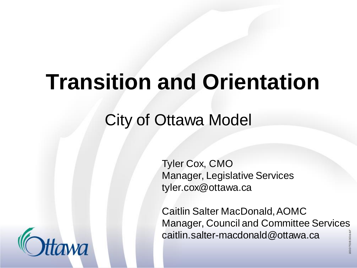## **Transition and Orientation**

### City of Ottawa Model

Tyler Cox, CMO Manager, Legislative Services tyler.cox@ottawa.ca

Caitlin Salter MacDonald, AOMC Manager, Council and Committee Services caitlin.salter-macdonald@ottawa.ca

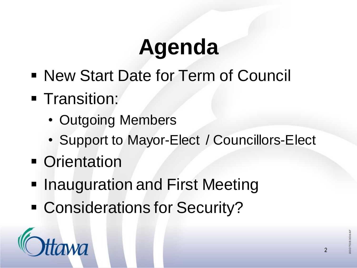# **Agenda**

- New Start Date for Term of Council
- **EXECUTE:** Fransition:
	- Outgoing Members
	- Support to Mayor-Elect / Councillors-Elect
- **Orientation**
- **Inauguration and First Meeting**
- Considerations for Security?

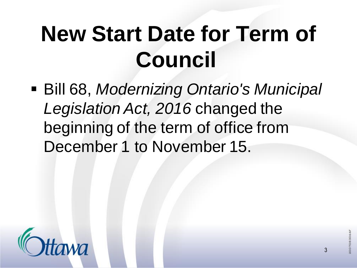# **New Start Date for Term of Council**

▪ Bill 68, *Modernizing Ontario's Municipal Legislation Act, 2016* changed the beginning of the term of office from December 1 to November 15.

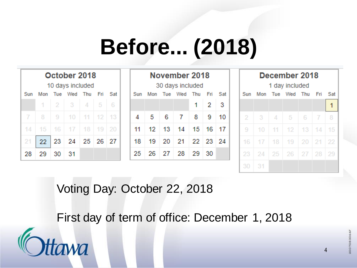# **Before... (2018)**

|        | October 2018<br>10 days included |      |                         |     |  |  |  |  |  |  |  |
|--------|----------------------------------|------|-------------------------|-----|--|--|--|--|--|--|--|
|        | Sun Mon Tue Wed Thu Fri          |      |                         | Sat |  |  |  |  |  |  |  |
|        |                                  |      | $1 \ 2 \ 3 \ 4 \ 5 \ 6$ |     |  |  |  |  |  |  |  |
|        | $7$   8   9   10   11   12   13  |      |                         |     |  |  |  |  |  |  |  |
|        | 14   15   16   17   18   19   20 |      |                         |     |  |  |  |  |  |  |  |
| $21 -$ |                                  |      | 22 23 24 25 26 27       |     |  |  |  |  |  |  |  |
| 28     | 29                               | - 30 | -31                     |     |  |  |  |  |  |  |  |

| November 2018    |  |  |                             |  |                     |  |  |  |  |  |
|------------------|--|--|-----------------------------|--|---------------------|--|--|--|--|--|
| 30 days included |  |  |                             |  |                     |  |  |  |  |  |
|                  |  |  | Sun Mon Tue Wed Thu Fri Sat |  |                     |  |  |  |  |  |
|                  |  |  |                             |  | $1 \quad 2 \quad 3$ |  |  |  |  |  |
| 4                |  |  | 5 6 7 8 9 10                |  |                     |  |  |  |  |  |
|                  |  |  | 11 12 13 14 15 16 17        |  |                     |  |  |  |  |  |
| 18.              |  |  | 19 20 21 22 23 24           |  |                     |  |  |  |  |  |
| 25.              |  |  | 26 27 28 29 30              |  |                     |  |  |  |  |  |

| December 2018   |            |  |                                  |      |                |   |  |  |  |  |
|-----------------|------------|--|----------------------------------|------|----------------|---|--|--|--|--|
| 1 day included  |            |  |                                  |      |                |   |  |  |  |  |
|                 |            |  | Sun Mon Tue Wed Thu Fri Sat      |      |                |   |  |  |  |  |
|                 |            |  |                                  |      |                |   |  |  |  |  |
| 2               | $3 \mid 4$ |  | $-5$                             | $-6$ | $\overline{7}$ | 8 |  |  |  |  |
| 9               |            |  | $10$ 11 12 13 14 15              |      |                |   |  |  |  |  |
| 16 <sup>1</sup> |            |  | 17   18   19   20   21   22      |      |                |   |  |  |  |  |
|                 |            |  | 23   24   25   26   27   28   29 |      |                |   |  |  |  |  |
| 30              | 31         |  |                                  |      |                |   |  |  |  |  |

Voting Day: October 22, 2018

First day of term of office: December 1, 2018



4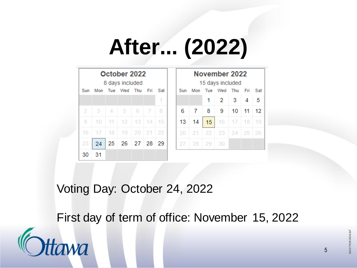# **After... (2022)**

| October 2022<br>8 days included |     |            |         |    | November 2022<br>15 days included |     |     |     |     |     |     |     |     |
|---------------------------------|-----|------------|---------|----|-----------------------------------|-----|-----|-----|-----|-----|-----|-----|-----|
| Sun                             | Mon | <b>Tue</b> | Wed Thu |    | Fri                               | Sat | Sun | Mon | Tue | Wed | Thu | Fri | Sat |
|                                 |     |            |         |    |                                   | 1   |     |     | 1   | 2   | 3   | 4   | 5   |
| 2                               | 3   | 4          | 5       | 6  | 7                                 | 8   | 6   | 7   | 8   | 9   | 10  | 11  | 12. |
| 9                               | 10  | 11         | 12      | 13 | 14                                | 15  | 13  | 14  | 15  | 16  | 17  | 18  | 19  |
| 16                              | 17  | 18         | 19      | 20 | -21                               | 22  | 20  | 21  | 22  | 23  | 24  | 25  | 26  |
| 23                              | 24  | 25         | 26      | 27 | 28                                | 29  | 27  | 28  | -29 | 30  |     |     |     |
| 30                              | 31  |            |         |    |                                   |     |     |     |     |     |     |     |     |

Voting Day: October 24, 2022

First day of term of office: November 15, 2022



5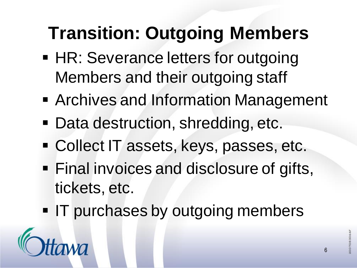## **Transition: Outgoing Members**

- **HR: Severance letters for outgoing** Members and their outgoing staff
- **EXPLEX Archives and Information Management**
- Data destruction, shredding, etc.
- Collect IT assets, keys, passes, etc.
- **Example 1 Final invoices and disclosure of gifts,** tickets, etc.
- **IT purchases by outgoing members**

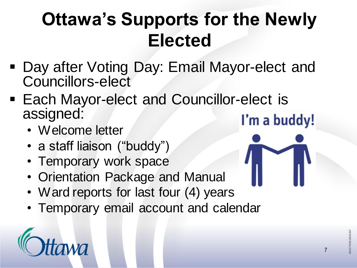## **Ottawa's Supports for the Newly Elected**

- **Day after Voting Day: Email Mayor-elect and** Councillors-elect
- **Each Mayor-elect and Councillor-elect is** assigned: I'm a buddy!
	- Welcome letter
	- a staff liaison ("buddy")
	- Temporary work space
	- Orientation Package and Manual
	- Ward reports for last four (4) years
	- Temporary email account and calendar



7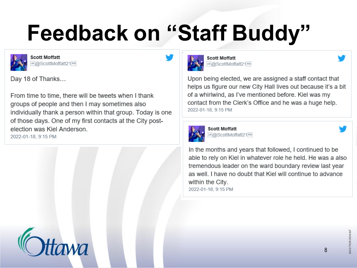# **Feedback on "Staff Buddy"**



**Scott Moffatt URI**@ScottMoffatt21990

Day 18 of Thanks...

From time to time, there will be tweets when I thank groups of people and then I may sometimes also individually thank a person within that group. Today is one of those days. One of my first contacts at the City postelection was Kiel Anderson. 2022-01-18, 9:15 PM





**Scott Moffatt EN:@ScottMoffatt21FDC** 

Upon being elected, we are assigned a staff contact that helps us figure our new City Hall lives out because it's a bit of a whirlwind, as I've mentioned before. Kiel was my contact from the Clerk's Office and he was a huge help. 2022-01-18, 9:15 PM



Scott Moffatt ...<br>iii:@ScottMoffatt21;<sup>pp</sup>i

In the months and years that followed, I continued to be able to rely on Kiel in whatever role he held. He was a also tremendous leader on the ward boundary review last year as well. I have no doubt that Kiel will continue to advance within the City. 2022-01-18, 9:15 PM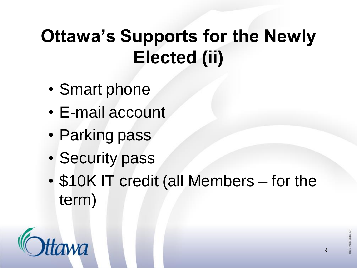## **Ottawa's Supports for the Newly Elected (ii)**

- Smart phone
- E-mail account
- Parking pass
- Security pass
- \$10K IT credit (all Members for the term)

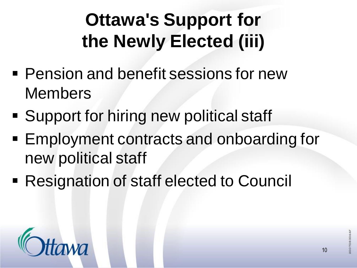## **Ottawa's Support for the Newly Elected (iii)**

- **Pension and benefit sessions for new** Members
- Support for hiring new political staff
- Employment contracts and onboarding for new political staff
- Resignation of staff elected to Council

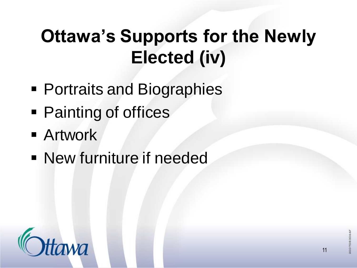## **Ottawa's Supports for the Newly Elected (iv)**

- Portraits and Biographies
- Painting of offices
- **E** Artwork
- **New furniture if needed**

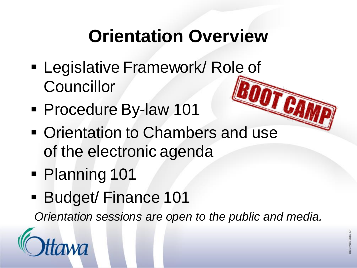## **Orientation Overview**

- **Example 1 Legislative Framework/ Role of Councillor**
- Procedure By-law 101
- Orientation to Chambers and use of the electronic agenda
- Planning 101
- **Budget/Finance 101**

*Orientation sessions are open to the public and media.*

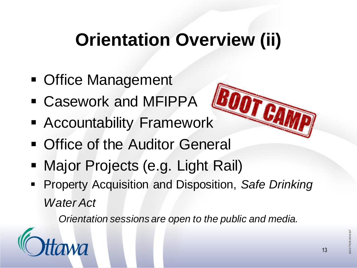## **Orientation Overview (ii)**

- Office Management
- Casework and MFIPPA
- **Execuntability Framework**
- **Office of the Auditor General**
- **Major Projects (e.g. Light Rail)**
- Property Acquisition and Disposition, Safe Drinking *Water Act*

*Orientation sessions are open to the public and media.*

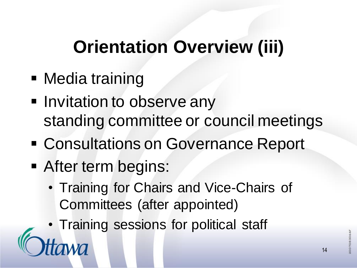### **Orientation Overview (iii)**

- Media training
- **E** Invitation to observe any standing committee or council meetings
- Consultations on Governance Report
- **EXECTED EXECUTE:** After term begins:
	- Training for Chairs and Vice-Chairs of Committees (after appointed)
- Training sessions for political staff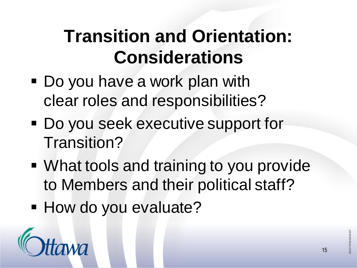## **Transition and Orientation: Considerations**

- Do you have a work plan with clear roles and responsibilities?
- Do you seek executive support for Transition?
- What tools and training to you provide to Members and their political staff?
- **E** How do you evaluate?

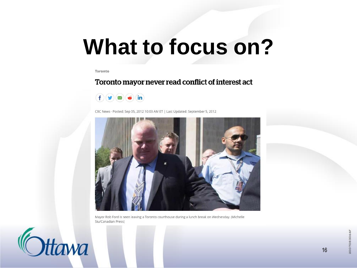## **What to focus on?**

Toronto

### Toronto mayor never read conflict of interest act



CBC News · Posted: Sep 05, 2012 10:03 AM ET | Last Updated: September 5, 2012



Mayor Rob Ford is seen leaving a Toronto courthouse during a lunch break on Wednesday. (Michelle Siu/Canadian Press)

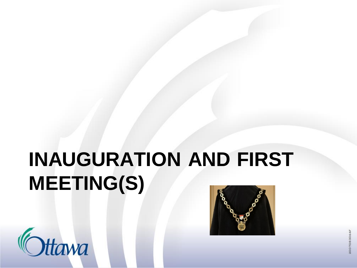## **INAUGURATION AND FIRST MEETING(S)**



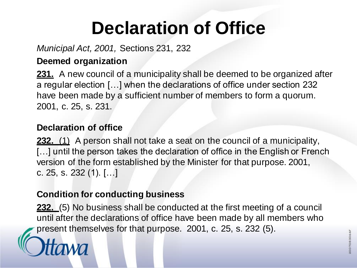## **Declaration of Office**

### *Municipal Act, 2001,* Sections 231, 232

### **Deemed organization**

**231.** A new council of a municipality shall be deemed to be organized after a regular election […] when the declarations of office under section 232 have been made by a sufficient number of members to form a quorum. 2001, c. 25, s. 231.

### **Declaration of office**

**232.** (1) A person shall not take a seat on the council of a municipality, [...] until the person takes the declaration of office in the English or French version of the form established by the Minister for that purpose. 2001, c. 25, s. 232 (1). […]

### **Condition for conducting business**

**232.** (5) No business shall be conducted at the first meeting of a council until after the declarations of office have been made by all members who present themselves for that purpose. 2001, c. 25, s. 232 (5).

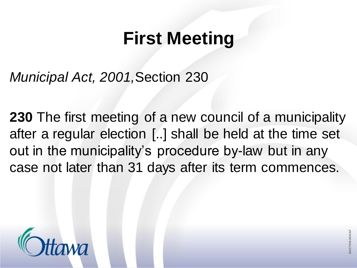## **First Meeting**

*Municipal Act, 2001,*Section 230

**230** The first meeting of a new council of a municipality after a regular election [..] shall be held at the time set out in the municipality's procedure by-law but in any case not later than 31 days after its term commences.

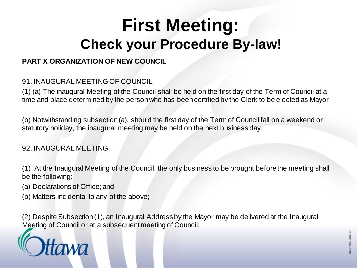### **First Meeting: Check your Procedure By-law!**

### **PART X ORGANIZATION OF NEW COUNCIL**

### 91. INAUGURAL MEETING OF COUNCIL

(1) (a) The inaugural Meeting of the Council shall be held on the first day of the Term of Council at a time and place determined by the person who has been certified by the Clerk to be elected as Mayor

(b) Notwithstanding subsection (a), should the first day of the Term of Council fall on a weekend or statutory holiday, the inaugural meeting may be held on the next business day.

### 92. INAUGURAL MEETING

(1) At the Inaugural Meeting of the Council, the only business to be brought before the meeting shall be the following:

(a) Declarations of Office; and

(b) Matters incidental to any of the above;

(2) Despite Subsection (1), an Inaugural Address by the Mayor may be delivered at the Inaugural Meeting of Council or at a subsequent meeting of Council.

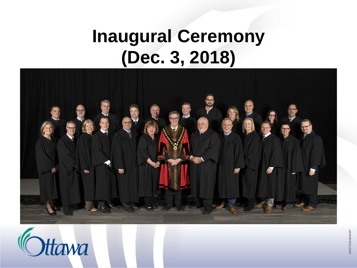### **Inaugural Ceremony (Dec. 3, 2018)**



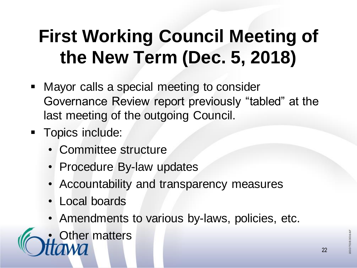## **First Working Council Meeting of the New Term (Dec. 5, 2018)**

- Mayor calls a special meeting to consider Governance Review report previously "tabled" at the last meeting of the outgoing Council.
- **Topics include:** 
	- Committee structure
	- Procedure By-law updates
	- Accountability and transparency measures
	- Local boards
	- Amendments to various by-laws, policies, etc.

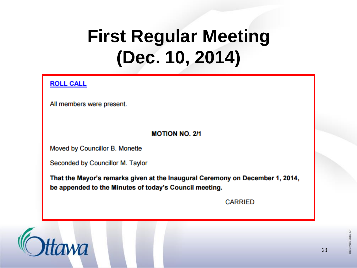## **First Regular Meeting (Dec. 10, 2014)**

#### **ROLL CALL**

All members were present.

#### **MOTION NO. 2/1**

Moved by Councillor B. Monette

Seconded by Councillor M. Taylor

That the Mayor's remarks given at the Inaugural Ceremony on December 1, 2014, be appended to the Minutes of today's Council meeting.

**CARRIED** 

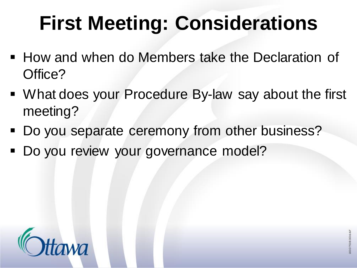## **First Meeting: Considerations**

- How and when do Members take the Declaration of Office?
- What does your Procedure By-law say about the first meeting?
- Do you separate ceremony from other business?
- Do you review your governance model?

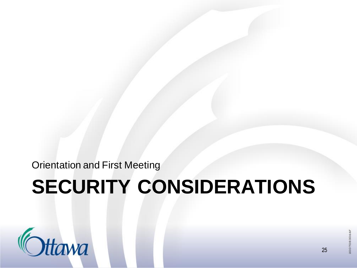Orientation and First Meeting

## **SECURITY CONSIDERATIONS**



25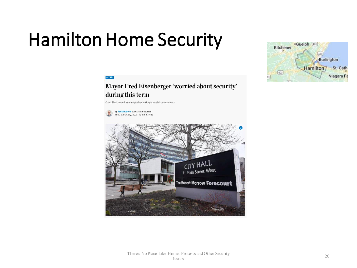## Hamilton Home Security



#### Mayor Fred Eisenberger 'worried about security' during this term

Council backs security training and option for personal risk assessments

**By Teviah Moro Spectator Reporter** Thu., March 24, 2022 | 64 min. read

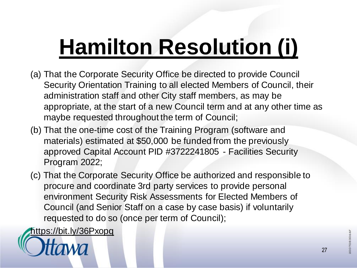# **[Hamilton Resolution \(i\)](https://bit.ly/36Pxopq)**

- (a) That the Corporate Security Office be directed to provide Council Security Orientation Training to all elected Members of Council, their administration staff and other City staff members, as may be appropriate, at the start of a new Council term and at any other time as maybe requested throughout the term of Council;
- (b) That the one-time cost of the Training Program (software and materials) estimated at \$50,000 be funded from the previously approved Capital Account PID #3722241805 - Facilities Security Program 2022;
- (c) That the Corporate Security Office be authorized and responsible to procure and coordinate 3rd party services to provide personal environment Security Risk Assessments for Elected Members of Council (and Senior Staff on a case by case basis) if voluntarily requested to do so (once per term of Council);

<https://bit.ly/36Pxopq>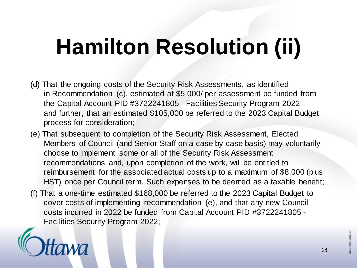# **Hamilton Resolution (ii)**

- (d) That the ongoing costs of the Security Risk Assessments, as identified in Recommendation (c), estimated at \$5,000/ per assessment be funded from the Capital Account PID #3722241805 - Facilities Security Program 2022 and further, that an estimated \$105,000 be referred to the 2023 Capital Budget process for consideration;
- (e) That subsequent to completion of the Security Risk Assessment, Elected Members of Council (and Senior Staff on a case by case basis) may voluntarily choose to implement some or all of the Security Risk Assessment recommendations and, upon completion of the work, will be entitled to reimbursement for the associated actual costs up to a maximum of \$8,000 (plus HST) once per Council term. Such expenses to be deemed as a taxable benefit;
- (f) That a one-time estimated \$168,000 be referred to the 2023 Capital Budget to cover costs of implementing recommendation (e), and that any new Council costs incurred in 2022 be funded from Capital Account PID #3722241805 - Facilities Security Program 2022;



28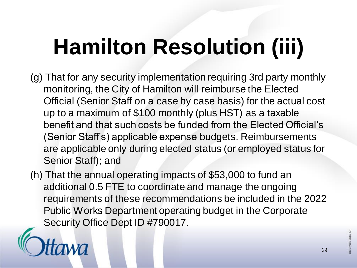# **Hamilton Resolution (iii)**

- (g) That for any security implementation requiring 3rd party monthly monitoring, the City of Hamilton will reimburse the Elected Official (Senior Staff on a case by case basis) for the actual cost up to a maximum of \$100 monthly (plus HST) as a taxable benefit and that such costs be funded from the Elected Official's (Senior Staff's) applicable expense budgets. Reimbursements are applicable only during elected status (or employed status for Senior Staff); and
- (h) That the annual operating impacts of \$53,000 to fund an additional 0.5 FTE to coordinate and manage the ongoing requirements of these recommendations be included in the 2022 Public Works Department operating budget in the Corporate Security Office Dept ID #790017.



29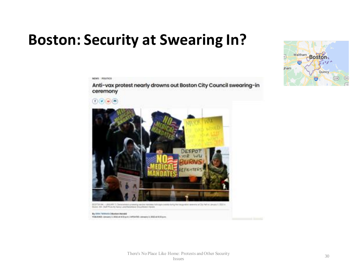### **Boston: Security at Swearing In?**

NEWS POLITICS



Anti-vax protest nearly drowns out Boston City Council swearing-in



PUR/DNS January 1.3022 et 6.03 p.m.) (effort@), censury 3.2022 et 6.03 p.m.